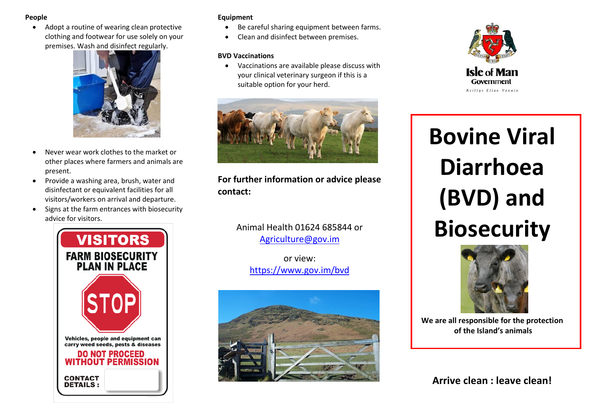### **People**

 Adopt a routine of wearing clean protective clothing and footwear for use solely on your premises. Wash and disinfect regularly.



- Never wear work clothes to the market or other places where farmers and animals are present.
- Provide a washing area, brush, water and disinfectant or equivalent facilities for all visitors/workers on arrival and departure.
- Signs at the farm entrances with biosecurity advice for visitors.



## **Equipment**

- Be careful sharing equipment between farms.
- Clean and disinfect between premises.

### **BVD Vaccinations**

 Vaccinations are available please discuss with your clinical veterinary surgeon if this is a suitable option for your herd.



# **For further information or advice please contact:**

Animal Health 01624 685844 or [Agriculture@gov.im](mailto:Agriculture@gov.im)

or view: <https://www.gov.im/bvd>





j

# **Bovine Viral Diarrhoea (BVD) and Biosecurity**



**We are all responsible for the protection of the Island's animals**

**Arrive clean : leave clean!**